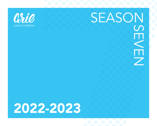

# SEASON S

## 2022-2023

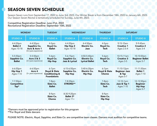### SEASON SEVEN SCHEDULE

Season Seven runs from September 17, 2022 to June 3rd, 2023. Our Winter Break is from December 18th, 2022 to January 6th, 2023. Our Season Seven Recital is tentatively scheduled for Sunday, June 4th, 2023.

Competitive Registration Deadline: June 21st, 2022 Recreational Registration Deadline: September 10th, 2022

| <b>MONDAY</b>                                          |                                                                     | <b>TUESDAY</b>                                                               | <b>WEDNESDAY</b>                                  |                                                             | <b>THURSDAY</b>                         | <b>SATURDAY</b>                                         |                                                             |
|--------------------------------------------------------|---------------------------------------------------------------------|------------------------------------------------------------------------------|---------------------------------------------------|-------------------------------------------------------------|-----------------------------------------|---------------------------------------------------------|-------------------------------------------------------------|
| <b>STUDIO A</b>                                        | <b>STUDIO B</b>                                                     | <b>STUDIO A</b>                                                              | <b>STUDIO A</b>                                   | <b>STUDIO B</b>                                             | <b>STUDIO A</b>                         | <b>STUDIO A</b>                                         | <b>STUDIO B</b>                                             |
| 4-4:50pm<br><b>Ballet 2</b><br>Ages 10-18              | 4-4:50pm<br>Sapphire Co.<br>Acro & Acro 1<br>(0-2 years experience) | $4-5pm$<br>Royal Co.<br><b>Ballet</b>                                        | 4-4:50pm<br><b>Hip Hop 2</b><br>Ages 10-18        | 4-4:50pm<br>Electric Co.<br>Jazz                            | $4-5pm$<br>Royal Co.<br>Tech            | $9:15-10am$<br><b>Creative 1</b><br>Ages 2.5-4          | $9 - 9:45$ am<br><b>Creative 2</b><br>Ages 3-4              |
| 5-5:50pm<br>Sapphire Co.<br><b>Ballet</b>              | 5-5:50pm<br>Acro 2 & 3<br>(2-3 years experience)                    | $5-6$ pm<br>Royal Co.<br><b>Hip Hop</b>                                      | 5-6:15pm<br><b>Sapphire Co.</b><br>Jazz & Lyrical | 4:50-5:40pm<br><b>Electric Co.</b><br><b>Lyrical Ballet</b> | $5-6$ pm<br>Royal Co.<br><b>Tech</b>    | 10:15-11am<br><b>Creative 3</b><br>Ages 3-5             | 10-10:50am<br><b>Beginner Ballet</b><br>Ages 5-7            |
| 6-6:50pm<br><b>Hip Hop 1</b><br><b>Ages 7-10</b>       | 6-6:50pm<br>Acro 4<br>(3+ years experience)                         | $6-7$ pm<br>Royal & Slate<br><b>Conditioning &amp;</b><br><b>Foundations</b> | 6:15-6:50pm<br>Sapphire Co.<br><b>Hip Hop</b>     | 5:40-6:30pm<br><b>Electric Co.</b><br><b>Hip Hop</b>        | $6-7$ pm<br>Royal & Slate<br>Choreo     | 11:10-12pm<br><b>Beginner Jazz</b><br>& Tap<br>Ages 5-7 | 11-11:50am<br><b>Ballet 1</b><br>Ages 7-10                  |
| 7-7:50pm<br><b>Competitive</b><br>$\mathsf{Tap}^\star$ |                                                                     | $7-8$ pm<br>Slate Co.<br><b>Ballet</b>                                       | 7-8:30pm<br><b>STRONG**</b>                       |                                                             | $7-8pm$<br>Slate Co.<br><b>Tech</b>     | 12:10-1pm<br>Jazz & Tap 1<br>Ages 7-10                  | 12-12:50pm<br><b>Beginner</b><br><b>Hip Hop</b><br>Ages 5-7 |
|                                                        |                                                                     | $8-9$ pm<br>Slate Co.<br>Choreo                                              | 8:30-9:20pm<br><b>Ballet 3*</b><br>Ages $11+$     |                                                             | $8-9$ pm<br>Slate Co.<br><b>Hip Hop</b> |                                                         |                                                             |

\*Dancers must be approved prior to registration for this program \*\*For Royal and Slate dancers

PLEASE NOTE: *Electric, Royal, Sapphire, and Slate Co.* are competitive team classes. Dancers must audition for competitive teams.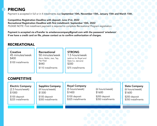### PRICING

Payment is accepted in full or in 4 installments due September 10th, November 15th, January 15th and March 15th.

Competitive Registration Deadline with deposit: June 21st, 2022 Recreational Registration Deadline with first installment: September 10th, 2022 *PLEASE NOTE: First installment payment is required to complete Recreational Program registration.*

Payment is accepted via eTransfer to ariedancecompany@gmail.com with the password 'ariedance'. If we have a credit card on file, please contact us to confirm authorization of charges.

#### RECREATIONAL

Creative 45 minutes/week \$400 \$100 installments

Recreational 50 minutes/week (Acro, Ballet, Jazz, Tap, Hip Hop) \$440 \$110 installments

STRONG 1.5 hours/week (add-on for Royal and Slate Co. dancers) \$300

\$75 installments

#### **COMPETITIVE**

Electric Company (2.5 hours/week) \$1000 \$100 deposit \$225 installments

Sapphire Company (4 hours/week) \$1300

\$100 deposit \$300 installments Royal Company (5 hours/week)

\$100 deposit \$325 installments

\$1400

(6 hours/week) \$1600

\$200 deposit \$350 installments Slate Company (6 hours/week) \$1600

\$200 deposit \$350 installments